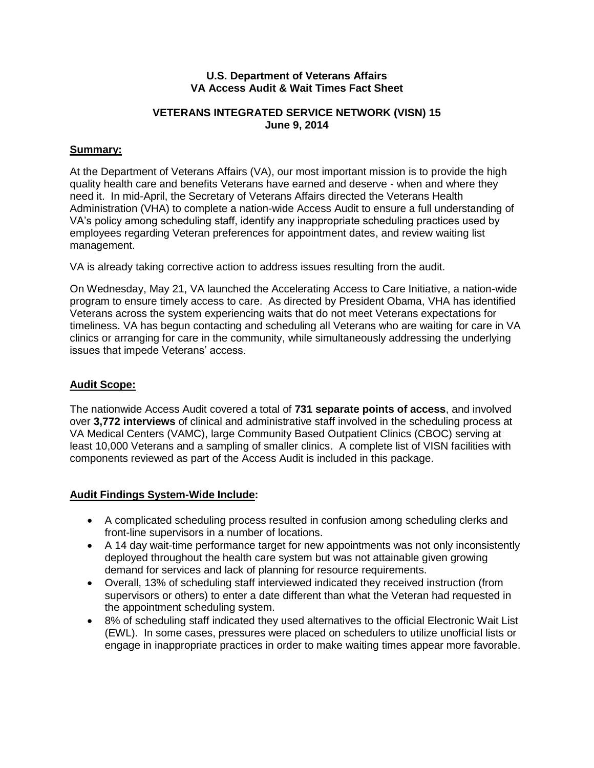#### **U.S. Department of Veterans Affairs VA Access Audit & Wait Times Fact Sheet**

## **VETERANS INTEGRATED SERVICE NETWORK (VISN) 15 June 9, 2014**

# **Summary:**

At the Department of Veterans Affairs (VA), our most important mission is to provide the high quality health care and benefits Veterans have earned and deserve - when and where they need it. In mid-April, the Secretary of Veterans Affairs directed the Veterans Health Administration (VHA) to complete a nation-wide Access Audit to ensure a full understanding of VA's policy among scheduling staff, identify any inappropriate scheduling practices used by employees regarding Veteran preferences for appointment dates, and review waiting list management.

VA is already taking corrective action to address issues resulting from the audit.

On Wednesday, May 21, VA launched the Accelerating Access to Care Initiative, a nation-wide program to ensure timely access to care. As directed by President Obama, VHA has identified Veterans across the system experiencing waits that do not meet Veterans expectations for timeliness. VA has begun contacting and scheduling all Veterans who are waiting for care in VA clinics or arranging for care in the community, while simultaneously addressing the underlying issues that impede Veterans' access.

### **Audit Scope:**

The nationwide Access Audit covered a total of **731 separate points of access**, and involved over **3,772 interviews** of clinical and administrative staff involved in the scheduling process at VA Medical Centers (VAMC), large Community Based Outpatient Clinics (CBOC) serving at least 10,000 Veterans and a sampling of smaller clinics. A complete list of VISN facilities with components reviewed as part of the Access Audit is included in this package.

# **Audit Findings System-Wide Include:**

- A complicated scheduling process resulted in confusion among scheduling clerks and front-line supervisors in a number of locations.
- A 14 day wait-time performance target for new appointments was not only inconsistently deployed throughout the health care system but was not attainable given growing demand for services and lack of planning for resource requirements.
- Overall, 13% of scheduling staff interviewed indicated they received instruction (from supervisors or others) to enter a date different than what the Veteran had requested in the appointment scheduling system.
- 8% of scheduling staff indicated they used alternatives to the official Electronic Wait List (EWL). In some cases, pressures were placed on schedulers to utilize unofficial lists or engage in inappropriate practices in order to make waiting times appear more favorable.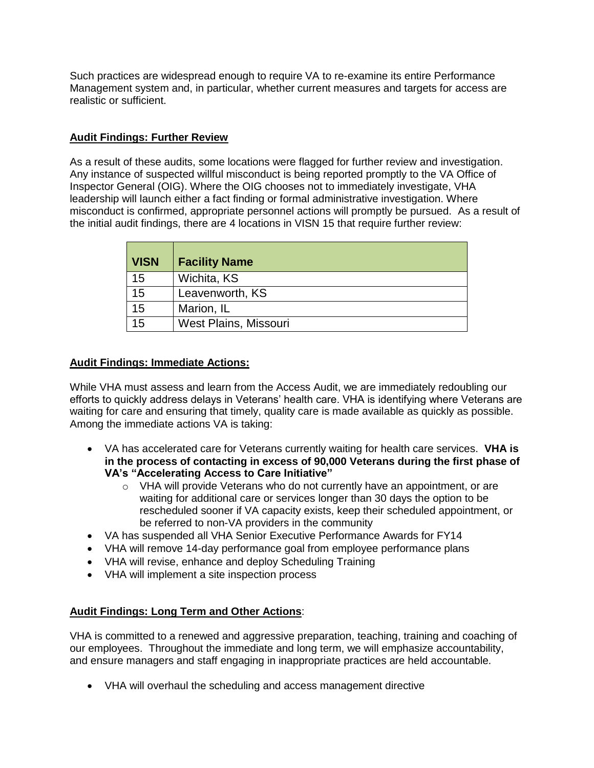Such practices are widespread enough to require VA to re-examine its entire Performance Management system and, in particular, whether current measures and targets for access are realistic or sufficient.

# **Audit Findings: Further Review**

As a result of these audits, some locations were flagged for further review and investigation. Any instance of suspected willful misconduct is being reported promptly to the VA Office of Inspector General (OIG). Where the OIG chooses not to immediately investigate, VHA leadership will launch either a fact finding or formal administrative investigation. Where misconduct is confirmed, appropriate personnel actions will promptly be pursued. As a result of the initial audit findings, there are 4 locations in VISN 15 that require further review:

| <b>VISN</b> | <b>Facility Name</b>  |
|-------------|-----------------------|
| 15          | Wichita, KS           |
| 15          | Leavenworth, KS       |
| 15          | Marion, IL            |
| 15          | West Plains, Missouri |

#### **Audit Findings: Immediate Actions:**

While VHA must assess and learn from the Access Audit, we are immediately redoubling our efforts to quickly address delays in Veterans' health care. VHA is identifying where Veterans are waiting for care and ensuring that timely, quality care is made available as quickly as possible. Among the immediate actions VA is taking:

- VA has accelerated care for Veterans currently waiting for health care services. **VHA is in the process of contacting in excess of 90,000 Veterans during the first phase of VA's "Accelerating Access to Care Initiative"**
	- o VHA will provide Veterans who do not currently have an appointment, or are waiting for additional care or services longer than 30 days the option to be rescheduled sooner if VA capacity exists, keep their scheduled appointment, or be referred to non-VA providers in the community
- VA has suspended all VHA Senior Executive Performance Awards for FY14
- VHA will remove 14-day performance goal from employee performance plans
- VHA will revise, enhance and deploy Scheduling Training
- VHA will implement a site inspection process

# **Audit Findings: Long Term and Other Actions**:

VHA is committed to a renewed and aggressive preparation, teaching, training and coaching of our employees. Throughout the immediate and long term, we will emphasize accountability, and ensure managers and staff engaging in inappropriate practices are held accountable.

VHA will overhaul the scheduling and access management directive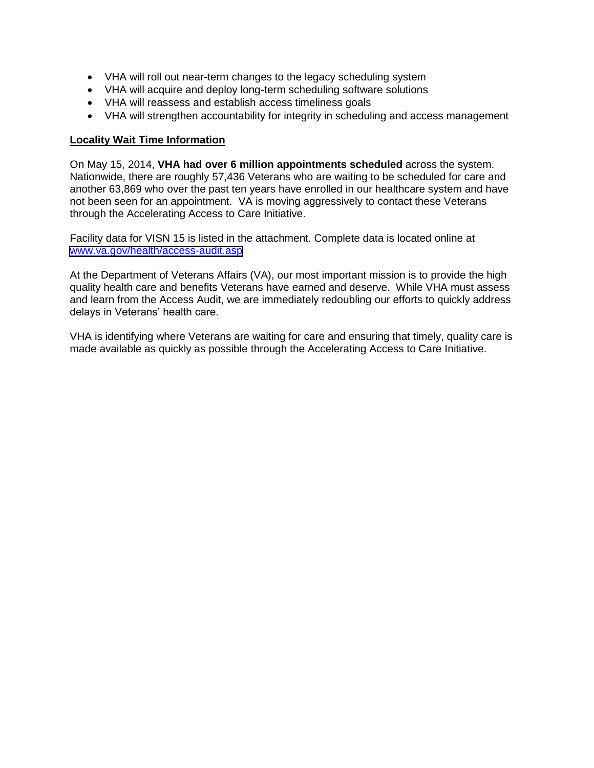- VHA will roll out near-term changes to the legacy scheduling system
- VHA will acquire and deploy long-term scheduling software solutions
- VHA will reassess and establish access timeliness goals
- VHA will strengthen accountability for integrity in scheduling and access management

### **Locality Wait Time Information**

On May 15, 2014, **VHA had over 6 million appointments scheduled** across the system. Nationwide, there are roughly 57,436 Veterans who are waiting to be scheduled for care and another 63,869 who over the past ten years have enrolled in our healthcare system and have not been seen for an appointment. VA is moving aggressively to contact these Veterans through the Accelerating Access to Care Initiative.

Facility data for VISN 15 is listed in the attachment. Complete data is located online at [www.va.gov/health/access-audit.asp](https://www.va.gov/health/access-audit.asp)

At the Department of Veterans Affairs (VA), our most important mission is to provide the high quality health care and benefits Veterans have earned and deserve. While VHA must assess and learn from the Access Audit, we are immediately redoubling our efforts to quickly address delays in Veterans' health care.

VHA is identifying where Veterans are waiting for care and ensuring that timely, quality care is made available as quickly as possible through the Accelerating Access to Care Initiative.